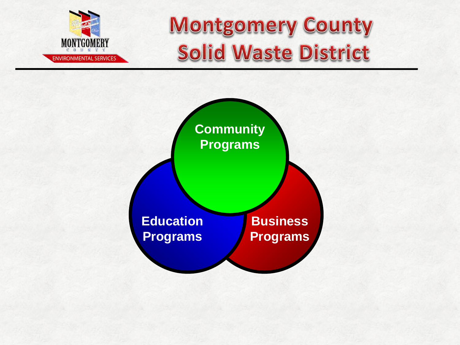

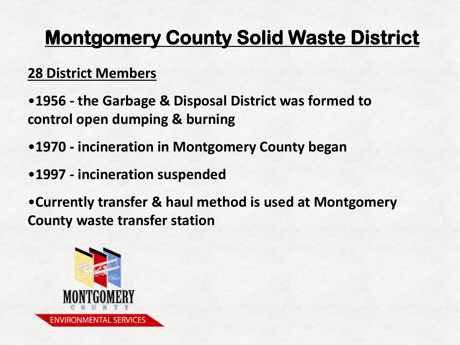#### **28 District Members**

- •**1956 the Garbage & Disposal District was formed to control open dumping & burning**
- •**1970 incineration in Montgomery County began**
- •**1997 incineration suspended**
- •**Currently transfer & haul method is used at Montgomery County waste transfer station**

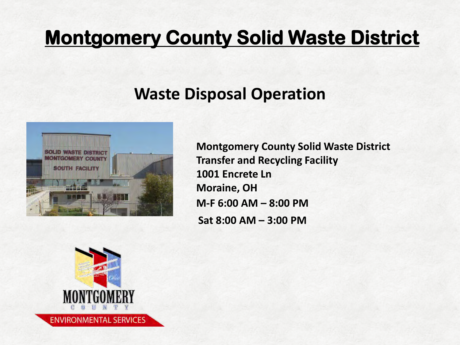#### **Waste Disposal Operation**



**M-F 6:00 AM – 8:00 PM Sat 8:00 AM – 3:00 PM Montgomery County Solid Waste District Transfer and Recycling Facility 1001 Encrete Ln Moraine, OH**

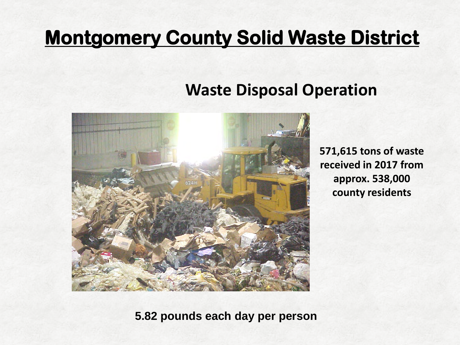#### **Waste Disposal Operation**



**571,615 tons of waste received in 2017 from approx. 538,000 county residents**

**5.82 pounds each day per person**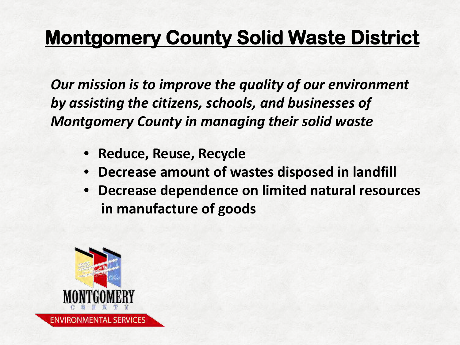*Our mission is to improve the quality of our environment by assisting the citizens, schools, and businesses of Montgomery County in managing their solid waste*

- **Reduce, Reuse, Recycle**
- **Decrease amount of wastes disposed in landfill**
- **Decrease dependence on limited natural resources in manufacture of goods**

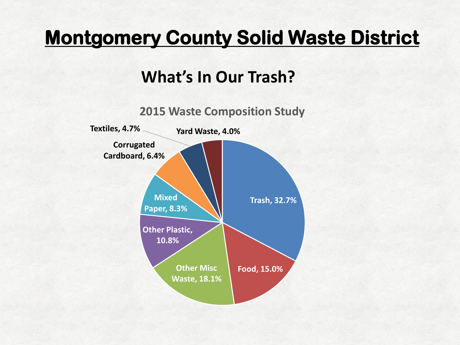#### **What's In Our Trash?**

**2015 Waste Composition Study**

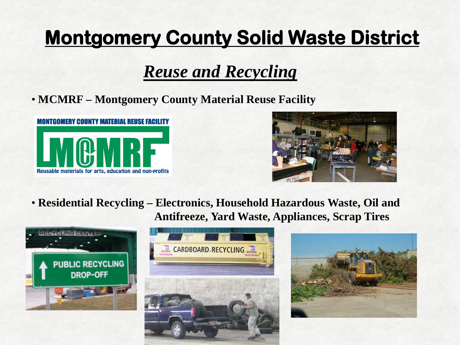#### *Reuse and Recycling*

• **MCMRF – Montgomery County Material Reuse Facility**





• **Residential Recycling – Electronics, Household Hazardous Waste, Oil and Antifreeze, Yard Waste, Appliances, Scrap Tires** 





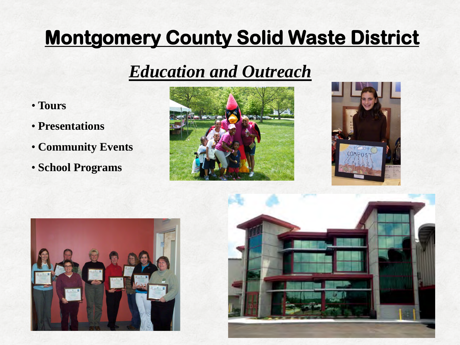#### *Education and Outreach*

- **Tours**
- • **Presentations**
- **Community Events**
- **School Programs**







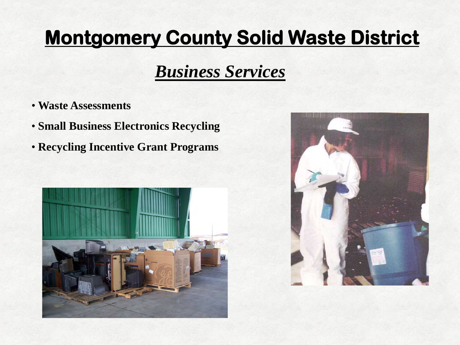#### *Business Services*

- **Waste Assessments**
- **Small Business Electronics Recycling**
- **Recycling Incentive Grant Programs**



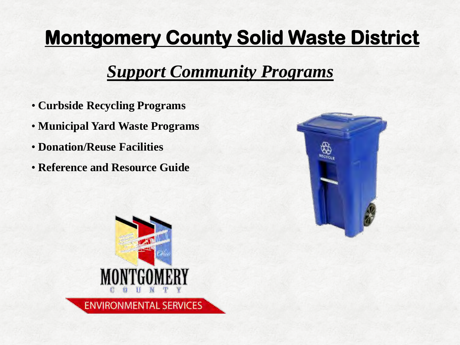#### **Support Community Programs**

- **Curbside Recycling Programs**
- **Municipal Yard Waste Programs**
- **Donation/Reuse Facilities**
- **Reference and Resource Guide**